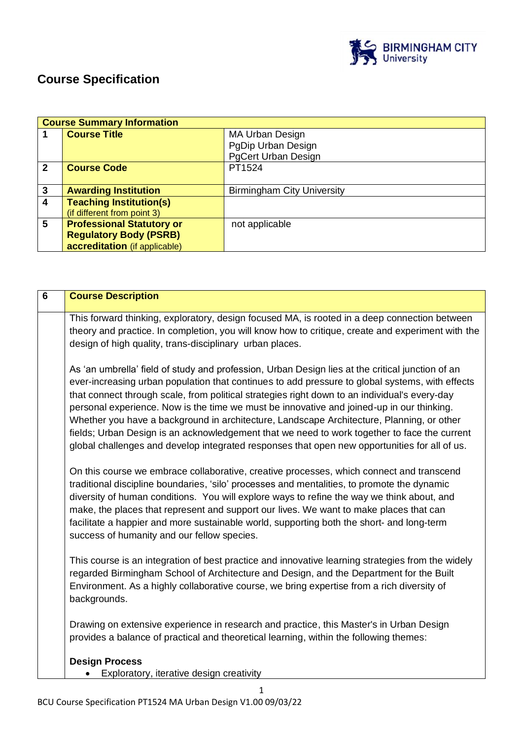

# **Course Specification**

| <b>Course Summary Information</b> |                                  |                                   |
|-----------------------------------|----------------------------------|-----------------------------------|
|                                   | <b>Course Title</b>              | <b>MA Urban Design</b>            |
|                                   |                                  | PgDip Urban Design                |
|                                   |                                  | <b>PgCert Urban Design</b>        |
| $\mathbf{2}$                      | <b>Course Code</b>               | PT1524                            |
|                                   |                                  |                                   |
| $\mathbf{3}$                      | <b>Awarding Institution</b>      | <b>Birmingham City University</b> |
| $\overline{\mathbf{4}}$           | <b>Teaching Institution(s)</b>   |                                   |
|                                   | (if different from point 3)      |                                   |
| 5                                 | <b>Professional Statutory or</b> | not applicable                    |
|                                   | <b>Regulatory Body (PSRB)</b>    |                                   |
|                                   | accreditation (if applicable)    |                                   |

| $6\phantom{1}6$ | <b>Course Description</b>                                                                                                                                                                                                                                                                                                                                                                                                                                                                                                                                                                                                                                                                       |
|-----------------|-------------------------------------------------------------------------------------------------------------------------------------------------------------------------------------------------------------------------------------------------------------------------------------------------------------------------------------------------------------------------------------------------------------------------------------------------------------------------------------------------------------------------------------------------------------------------------------------------------------------------------------------------------------------------------------------------|
|                 | This forward thinking, exploratory, design focused MA, is rooted in a deep connection between<br>theory and practice. In completion, you will know how to critique, create and experiment with the<br>design of high quality, trans-disciplinary urban places.                                                                                                                                                                                                                                                                                                                                                                                                                                  |
|                 | As 'an umbrella' field of study and profession, Urban Design lies at the critical junction of an<br>ever-increasing urban population that continues to add pressure to global systems, with effects<br>that connect through scale, from political strategies right down to an individual's every-day<br>personal experience. Now is the time we must be innovative and joined-up in our thinking.<br>Whether you have a background in architecture, Landscape Architecture, Planning, or other<br>fields; Urban Design is an acknowledgement that we need to work together to face the current<br>global challenges and develop integrated responses that open new opportunities for all of us. |
|                 | On this course we embrace collaborative, creative processes, which connect and transcend<br>traditional discipline boundaries, 'silo' processes and mentalities, to promote the dynamic<br>diversity of human conditions. You will explore ways to refine the way we think about, and<br>make, the places that represent and support our lives. We want to make places that can<br>facilitate a happier and more sustainable world, supporting both the short- and long-term<br>success of humanity and our fellow species.                                                                                                                                                                     |
|                 | This course is an integration of best practice and innovative learning strategies from the widely<br>regarded Birmingham School of Architecture and Design, and the Department for the Built<br>Environment. As a highly collaborative course, we bring expertise from a rich diversity of<br>backgrounds.                                                                                                                                                                                                                                                                                                                                                                                      |
|                 | Drawing on extensive experience in research and practice, this Master's in Urban Design<br>provides a balance of practical and theoretical learning, within the following themes:                                                                                                                                                                                                                                                                                                                                                                                                                                                                                                               |
|                 | <b>Design Process</b><br>Exploratory, iterative design creativity                                                                                                                                                                                                                                                                                                                                                                                                                                                                                                                                                                                                                               |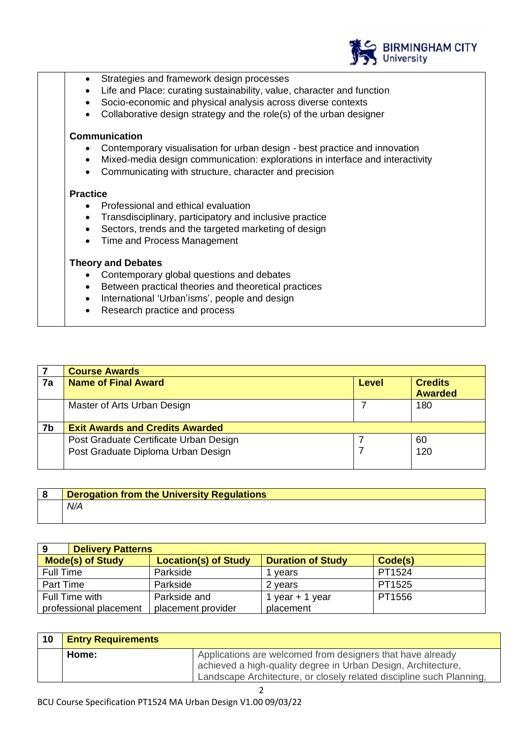

- Strategies and framework design processes
- Life and Place: curating sustainability, value, character and function
- Socio-economic and physical analysis across diverse contexts
- Collaborative design strategy and the role(s) of the urban designer

#### **Communication**

- Contemporary visualisation for urban design best practice and innovation
- Mixed-media design communication: explorations in interface and interactivity
- Communicating with structure, character and precision

#### **Practice**

- Professional and ethical evaluation
- Transdisciplinary, participatory and inclusive practice
- Sectors, trends and the targeted marketing of design
- Time and Process Management

#### **Theory and Debates**

- Contemporary global questions and debates
- Between practical theories and theoretical practices
- International 'Urban'isms', people and design
- Research practice and process

|    | <b>Course Awards</b>                   |       |                |
|----|----------------------------------------|-------|----------------|
| 7a | <b>Name of Final Award</b>             | Level | <b>Credits</b> |
|    |                                        |       | <b>Awarded</b> |
|    | Master of Arts Urban Design            |       | 180            |
|    |                                        |       |                |
| 7b | <b>Exit Awards and Credits Awarded</b> |       |                |
|    | Post Graduate Certificate Urban Design |       | 60             |
|    | Post Graduate Diploma Urban Design     |       | 120            |
|    |                                        |       |                |

| <b>Derogation from the University Regulations</b> |
|---------------------------------------------------|
| N/A                                               |

| 9                       | <b>Delivery Patterns</b>    |                          |         |
|-------------------------|-----------------------------|--------------------------|---------|
| <b>Mode(s) of Study</b> | <b>Location(s) of Study</b> | <b>Duration of Study</b> | Code(s) |
| <b>Full Time</b>        | Parkside                    | vears                    | PT1524  |
| Part Time               | Parkside                    | 2 years                  | PT1525  |
| Full Time with          | Parkside and                | 1 year $+$ 1 year        | PT1556  |
| professional placement  | placement provider          | placement                |         |

| 10 | <b>Entry Requirements</b> |                                                                                                                                                                                                     |
|----|---------------------------|-----------------------------------------------------------------------------------------------------------------------------------------------------------------------------------------------------|
|    | Home:                     | Applications are welcomed from designers that have already<br>achieved a high-quality degree in Urban Design, Architecture,<br>Landscape Architecture, or closely related discipline such Planning, |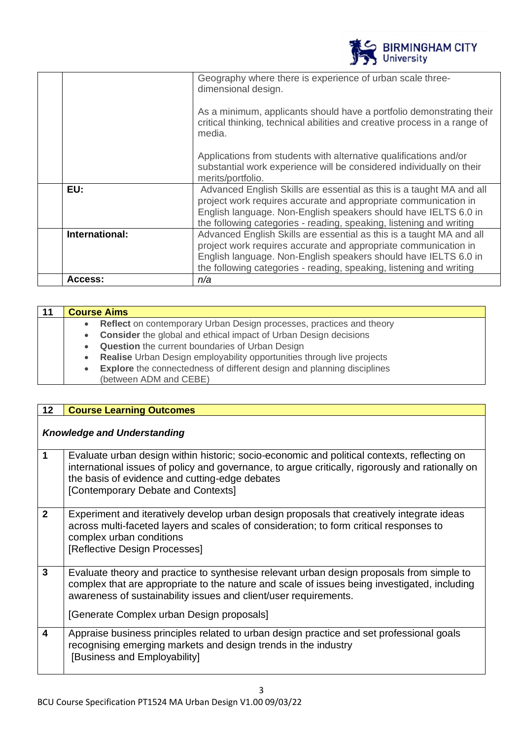|                | <b>BIRMINGHAM CITY</b><br>University                                                                                                                                                                                                                                              |
|----------------|-----------------------------------------------------------------------------------------------------------------------------------------------------------------------------------------------------------------------------------------------------------------------------------|
|                | Geography where there is experience of urban scale three-<br>dimensional design.                                                                                                                                                                                                  |
|                | As a minimum, applicants should have a portfolio demonstrating their<br>critical thinking, technical abilities and creative process in a range of<br>media.                                                                                                                       |
|                | Applications from students with alternative qualifications and/or<br>substantial work experience will be considered individually on their<br>merits/portfolio.                                                                                                                    |
| EU:            | Advanced English Skills are essential as this is a taught MA and all<br>project work requires accurate and appropriate communication in<br>English language. Non-English speakers should have IELTS 6.0 in<br>the following categories - reading, speaking, listening and writing |
| International: | Advanced English Skills are essential as this is a taught MA and all<br>project work requires accurate and appropriate communication in<br>English language. Non-English speakers should have IELTS 6.0 in<br>the following categories - reading, speaking, listening and writing |
| Access:        | n/a                                                                                                                                                                                                                                                                               |

| <b>Course Aims</b> |                                                                                                         |
|--------------------|---------------------------------------------------------------------------------------------------------|
| $\bullet$          | <b>Reflect</b> on contemporary Urban Design processes, practices and theory                             |
| $\bullet$          | <b>Consider</b> the global and ethical impact of Urban Design decisions                                 |
| $\bullet$          | <b>Question</b> the current boundaries of Urban Design                                                  |
| $\bullet$          | Realise Urban Design employability opportunities through live projects                                  |
| $\bullet$          | <b>Explore</b> the connectedness of different design and planning disciplines<br>(between ADM and CEBE) |

| 12 <sub>2</sub> | <b>Course Learning Outcomes</b>                                                                                                                                                                                                                                                                            |
|-----------------|------------------------------------------------------------------------------------------------------------------------------------------------------------------------------------------------------------------------------------------------------------------------------------------------------------|
|                 | <b>Knowledge and Understanding</b>                                                                                                                                                                                                                                                                         |
| 1               | Evaluate urban design within historic; socio-economic and political contexts, reflecting on<br>international issues of policy and governance, to argue critically, rigorously and rationally on<br>the basis of evidence and cutting-edge debates<br>[Contemporary Debate and Contexts]                    |
| $\overline{2}$  | Experiment and iteratively develop urban design proposals that creatively integrate ideas<br>across multi-faceted layers and scales of consideration; to form critical responses to<br>complex urban conditions<br>[Reflective Design Processes]                                                           |
| 3               | Evaluate theory and practice to synthesise relevant urban design proposals from simple to<br>complex that are appropriate to the nature and scale of issues being investigated, including<br>awareness of sustainability issues and client/user requirements.<br>[Generate Complex urban Design proposals] |
| 4               | Appraise business principles related to urban design practice and set professional goals<br>recognising emerging markets and design trends in the industry<br>[Business and Employability]                                                                                                                 |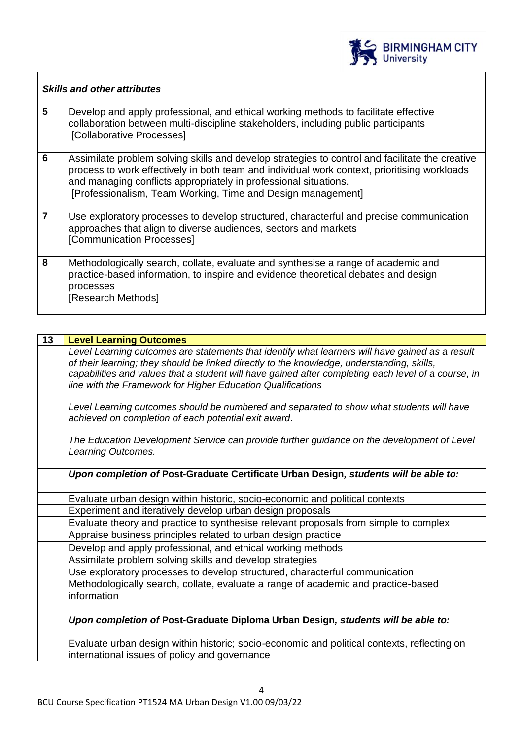

 $\overline{\phantom{a}}$ 

|   | <b>Skills and other attributes</b>                                                                                                                                                                                                                                                                                                 |
|---|------------------------------------------------------------------------------------------------------------------------------------------------------------------------------------------------------------------------------------------------------------------------------------------------------------------------------------|
| 5 | Develop and apply professional, and ethical working methods to facilitate effective<br>collaboration between multi-discipline stakeholders, including public participants<br>[Collaborative Processes]                                                                                                                             |
| 6 | Assimilate problem solving skills and develop strategies to control and facilitate the creative<br>process to work effectively in both team and individual work context, prioritising workloads<br>and managing conflicts appropriately in professional situations.<br>[Professionalism, Team Working, Time and Design management] |
| 7 | Use exploratory processes to develop structured, characterful and precise communication<br>approaches that align to diverse audiences, sectors and markets<br>[Communication Processes]                                                                                                                                            |
| 8 | Methodologically search, collate, evaluate and synthesise a range of academic and<br>practice-based information, to inspire and evidence theoretical debates and design<br>processes<br>[Research Methods]                                                                                                                         |

 $\Gamma$ 

| 13 | <b>Level Learning Outcomes</b>                                                                                                                                                                                                                                                                                                                                      |
|----|---------------------------------------------------------------------------------------------------------------------------------------------------------------------------------------------------------------------------------------------------------------------------------------------------------------------------------------------------------------------|
|    | Level Learning outcomes are statements that identify what learners will have gained as a result<br>of their learning; they should be linked directly to the knowledge, understanding, skills,<br>capabilities and values that a student will have gained after completing each level of a course, in<br>line with the Framework for Higher Education Qualifications |
|    | Level Learning outcomes should be numbered and separated to show what students will have<br>achieved on completion of each potential exit award.                                                                                                                                                                                                                    |
|    | The Education Development Service can provide further guidance on the development of Level<br>Learning Outcomes.                                                                                                                                                                                                                                                    |
|    | Upon completion of Post-Graduate Certificate Urban Design, students will be able to:                                                                                                                                                                                                                                                                                |
|    | Evaluate urban design within historic, socio-economic and political contexts                                                                                                                                                                                                                                                                                        |
|    | Experiment and iteratively develop urban design proposals                                                                                                                                                                                                                                                                                                           |
|    | Evaluate theory and practice to synthesise relevant proposals from simple to complex                                                                                                                                                                                                                                                                                |
|    | Appraise business principles related to urban design practice                                                                                                                                                                                                                                                                                                       |
|    | Develop and apply professional, and ethical working methods                                                                                                                                                                                                                                                                                                         |
|    | Assimilate problem solving skills and develop strategies                                                                                                                                                                                                                                                                                                            |
|    | Use exploratory processes to develop structured, characterful communication                                                                                                                                                                                                                                                                                         |
|    | Methodologically search, collate, evaluate a range of academic and practice-based<br>information                                                                                                                                                                                                                                                                    |
|    |                                                                                                                                                                                                                                                                                                                                                                     |
|    | Upon completion of Post-Graduate Diploma Urban Design, students will be able to:                                                                                                                                                                                                                                                                                    |
|    | Evaluate urban design within historic; socio-economic and political contexts, reflecting on<br>international issues of policy and governance                                                                                                                                                                                                                        |
|    |                                                                                                                                                                                                                                                                                                                                                                     |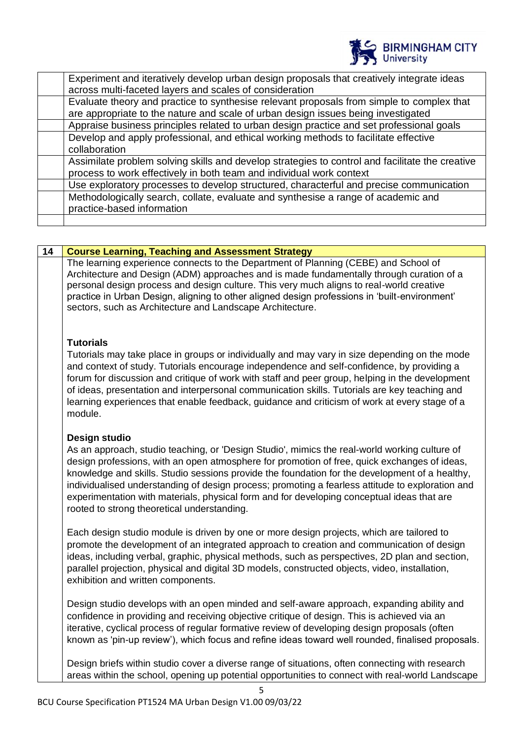

| Experiment and iteratively develop urban design proposals that creatively integrate ideas<br>across multi-faceted layers and scales of consideration                           |
|--------------------------------------------------------------------------------------------------------------------------------------------------------------------------------|
| Evaluate theory and practice to synthesise relevant proposals from simple to complex that<br>are appropriate to the nature and scale of urban design issues being investigated |
| Appraise business principles related to urban design practice and set professional goals                                                                                       |
| Develop and apply professional, and ethical working methods to facilitate effective<br>collaboration                                                                           |
| Assimilate problem solving skills and develop strategies to control and facilitate the creative<br>process to work effectively in both team and individual work context        |
| Use exploratory processes to develop structured, characterful and precise communication                                                                                        |
| Methodologically search, collate, evaluate and synthesise a range of academic and<br>practice-based information                                                                |
|                                                                                                                                                                                |

| 14 | <b>Course Learning, Teaching and Assessment Strategy</b>                                                                                                                                                                                                                                                                                                                                                                                                                                                                                                          |
|----|-------------------------------------------------------------------------------------------------------------------------------------------------------------------------------------------------------------------------------------------------------------------------------------------------------------------------------------------------------------------------------------------------------------------------------------------------------------------------------------------------------------------------------------------------------------------|
|    | The learning experience connects to the Department of Planning (CEBE) and School of<br>Architecture and Design (ADM) approaches and is made fundamentally through curation of a<br>personal design process and design culture. This very much aligns to real-world creative<br>practice in Urban Design, aligning to other aligned design professions in 'built-environment'<br>sectors, such as Architecture and Landscape Architecture.                                                                                                                         |
|    | <b>Tutorials</b><br>Tutorials may take place in groups or individually and may vary in size depending on the mode<br>and context of study. Tutorials encourage independence and self-confidence, by providing a<br>forum for discussion and critique of work with staff and peer group, helping in the development<br>of ideas, presentation and interpersonal communication skills. Tutorials are key teaching and<br>learning experiences that enable feedback, guidance and criticism of work at every stage of a<br>module.                                   |
|    | Design studio<br>As an approach, studio teaching, or 'Design Studio', mimics the real-world working culture of<br>design professions, with an open atmosphere for promotion of free, quick exchanges of ideas,<br>knowledge and skills. Studio sessions provide the foundation for the development of a healthy,<br>individualised understanding of design process; promoting a fearless attitude to exploration and<br>experimentation with materials, physical form and for developing conceptual ideas that are<br>rooted to strong theoretical understanding. |
|    | Each design studio module is driven by one or more design projects, which are tailored to<br>promote the development of an integrated approach to creation and communication of design<br>ideas, including verbal, graphic, physical methods, such as perspectives, 2D plan and section,<br>parallel projection, physical and digital 3D models, constructed objects, video, installation,<br>exhibition and written components.                                                                                                                                  |
|    | Design studio develops with an open minded and self-aware approach, expanding ability and<br>confidence in providing and receiving objective critique of design. This is achieved via an<br>iterative, cyclical process of regular formative review of developing design proposals (often<br>known as 'pin-up review'), which focus and refine ideas toward well rounded, finalised proposals.                                                                                                                                                                    |
|    | Design briefs within studio cover a diverse range of situations, often connecting with research<br>areas within the school, opening up potential opportunities to connect with real-world Landscape                                                                                                                                                                                                                                                                                                                                                               |

5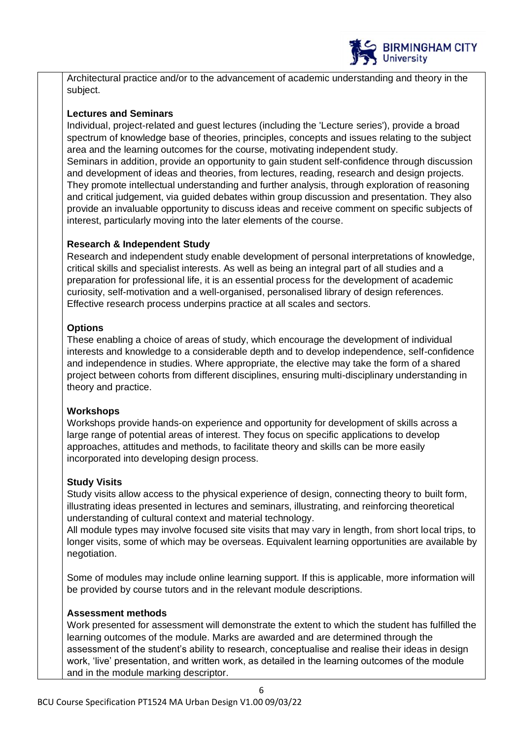

Architectural practice and/or to the advancement of academic understanding and theory in the subject.

# **Lectures and Seminars**

Individual, project-related and guest lectures (including the 'Lecture series'), provide a broad spectrum of knowledge base of theories, principles, concepts and issues relating to the subject area and the learning outcomes for the course, motivating independent study.

Seminars in addition, provide an opportunity to gain student self-confidence through discussion and development of ideas and theories, from lectures, reading, research and design projects. They promote intellectual understanding and further analysis, through exploration of reasoning and critical judgement, via guided debates within group discussion and presentation. They also provide an invaluable opportunity to discuss ideas and receive comment on specific subjects of interest, particularly moving into the later elements of the course.

# **Research & Independent Study**

Research and independent study enable development of personal interpretations of knowledge, critical skills and specialist interests. As well as being an integral part of all studies and a preparation for professional life, it is an essential process for the development of academic curiosity, self-motivation and a well-organised, personalised library of design references. Effective research process underpins practice at all scales and sectors.

# **Options**

These enabling a choice of areas of study, which encourage the development of individual interests and knowledge to a considerable depth and to develop independence, self-confidence and independence in studies. Where appropriate, the elective may take the form of a shared project between cohorts from different disciplines, ensuring multi-disciplinary understanding in theory and practice.

# **Workshops**

Workshops provide hands-on experience and opportunity for development of skills across a large range of potential areas of interest. They focus on specific applications to develop approaches, attitudes and methods, to facilitate theory and skills can be more easily incorporated into developing design process.

# **Study Visits**

Study visits allow access to the physical experience of design, connecting theory to built form, illustrating ideas presented in lectures and seminars, illustrating, and reinforcing theoretical understanding of cultural context and material technology.

All module types may involve focused site visits that may vary in length, from short local trips, to longer visits, some of which may be overseas. Equivalent learning opportunities are available by negotiation.

Some of modules may include online learning support. If this is applicable, more information will be provided by course tutors and in the relevant module descriptions.

# **Assessment methods**

Work presented for assessment will demonstrate the extent to which the student has fulfilled the learning outcomes of the module. Marks are awarded and are determined through the assessment of the student's ability to research, conceptualise and realise their ideas in design work, 'live' presentation, and written work, as detailed in the learning outcomes of the module and in the module marking descriptor.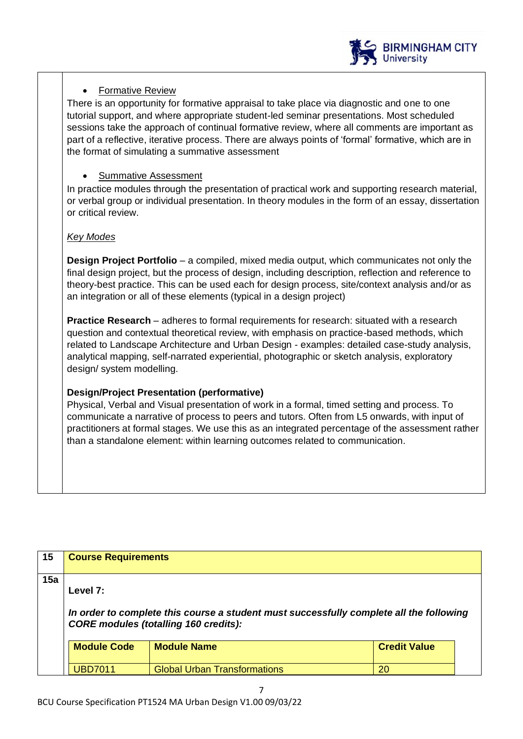

# • Formative Review

There is an opportunity for formative appraisal to take place via diagnostic and one to one tutorial support, and where appropriate student-led seminar presentations. Most scheduled sessions take the approach of continual formative review, where all comments are important as part of a reflective, iterative process. There are always points of 'formal' formative, which are in the format of simulating a summative assessment

# • Summative Assessment

In practice modules through the presentation of practical work and supporting research material, or verbal group or individual presentation. In theory modules in the form of an essay, dissertation or critical review.

#### *Key Modes*

**Design Project Portfolio** – a compiled, mixed media output, which communicates not only the final design project, but the process of design, including description, reflection and reference to theory-best practice. This can be used each for design process, site/context analysis and/or as an integration or all of these elements (typical in a design project)

**Practice Research** – adheres to formal requirements for research: situated with a research question and contextual theoretical review, with emphasis on practice-based methods, which related to Landscape Architecture and Urban Design - examples: detailed case-study analysis, analytical mapping, self-narrated experiential, photographic or sketch analysis, exploratory design/ system modelling.

# **Design/Project Presentation (performative)**

Physical, Verbal and Visual presentation of work in a formal, timed setting and process. To communicate a narrative of process to peers and tutors. Often from L5 onwards, with input of practitioners at formal stages. We use this as an integrated percentage of the assessment rather than a standalone element: within learning outcomes related to communication.

| 15  | <b>Course Requirements</b> |                                                                                                                                         |                     |  |
|-----|----------------------------|-----------------------------------------------------------------------------------------------------------------------------------------|---------------------|--|
| 15a | Level 7:                   | In order to complete this course a student must successfully complete all the following<br><b>CORE modules (totalling 160 credits):</b> |                     |  |
|     | <b>Module Code</b>         | <b>Module Name</b>                                                                                                                      | <b>Credit Value</b> |  |
|     | <b>URD7011</b>             | <b>Global Urban Transformations</b>                                                                                                     | 20                  |  |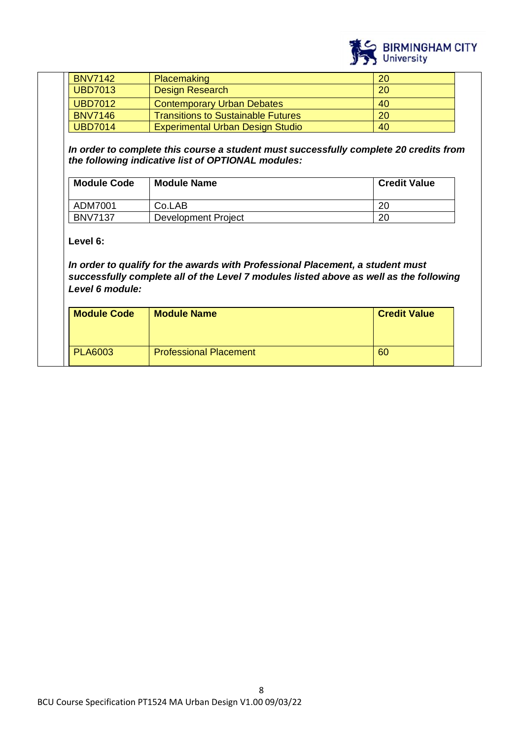

| <b>BNV7142</b> | <b>Placemaking</b>                        | 20 |
|----------------|-------------------------------------------|----|
| <b>UBD7013</b> | <b>Design Research</b>                    | 20 |
| <b>UBD7012</b> | <b>Contemporary Urban Debates</b>         | 40 |
| <b>BNV7146</b> | <b>Transitions to Sustainable Futures</b> | 20 |
| <b>UBD7014</b> | <b>Experimental Urban Design Studio</b>   | 40 |

*In order to complete this course a student must successfully complete 20 credits from the following indicative list of OPTIONAL modules:*

| <b>Module Code</b> | <b>Module Name</b>  | <b>Credit Value</b> |
|--------------------|---------------------|---------------------|
| ADM7001            | Co.LAB              | 20                  |
| <b>BNV7137</b>     | Development Project | 20                  |

**Level 6:**

*In order to qualify for the awards with Professional Placement, a student must successfully complete all of the Level 7 modules listed above as well as the following Level 6 module:*

| <b>Module Code</b> | <b>Module Name</b>            | <b>Credit Value</b> |  |
|--------------------|-------------------------------|---------------------|--|
| <b>PLA6003</b>     | <b>Professional Placement</b> | 60                  |  |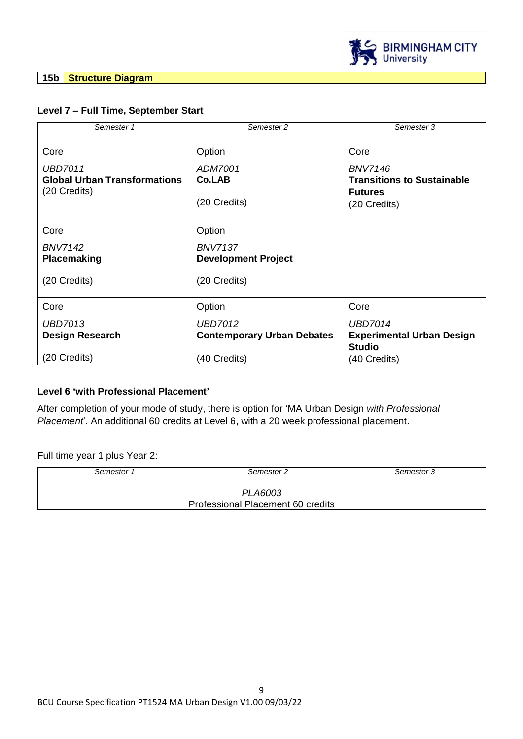

**15b Structure Diagram**

# **Level 7 – Full Time, September Start**

| Semester 1                                                            | Semester 2                                          | Semester 3                                                                            |
|-----------------------------------------------------------------------|-----------------------------------------------------|---------------------------------------------------------------------------------------|
| Core                                                                  | Option                                              | Core                                                                                  |
| <b>UBD7011</b><br><b>Global Urban Transformations</b><br>(20 Credits) | ADM7001<br>Co.LAB<br>(20 Credits)                   | <b>BNV7146</b><br><b>Transitions to Sustainable</b><br><b>Futures</b><br>(20 Credits) |
| Core                                                                  | Option                                              |                                                                                       |
| <b>BNV7142</b><br><b>Placemaking</b>                                  | <b>BNV7137</b><br><b>Development Project</b>        |                                                                                       |
| (20 Credits)                                                          | (20 Credits)                                        |                                                                                       |
| Core                                                                  | Option                                              | Core                                                                                  |
| UBD7013<br><b>Design Research</b>                                     | <b>UBD7012</b><br><b>Contemporary Urban Debates</b> | <b>UBD7014</b><br><b>Experimental Urban Design</b><br><b>Studio</b>                   |
| (20 Credits)                                                          | (40 Credits)                                        | (40 Credits)                                                                          |

# **Level 6 'with Professional Placement'**

After completion of your mode of study, there is option for 'MA Urban Design *with Professional Placement*'. An additional 60 credits at Level 6, with a 20 week professional placement.

Full time year 1 plus Year 2:

| Semester 1                        | Semester 2 | Semester 3 |
|-----------------------------------|------------|------------|
| PLA6003                           |            |            |
| Professional Placement 60 credits |            |            |